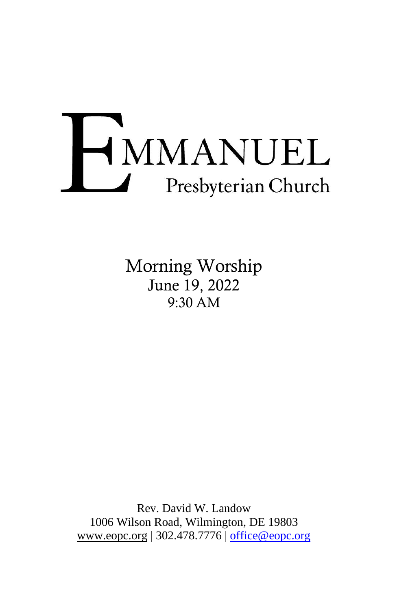# HMMANUEL Presbyterian Church

Morning Worship June 19, 2022 9:30 AM

Rev. David W. Landow 1006 Wilson Road, Wilmington, DE 19803 [www.eopc.org](http://www.eopc.org/) | 302.478.7776 | [office@eopc.org](mailto:office@eopc.org)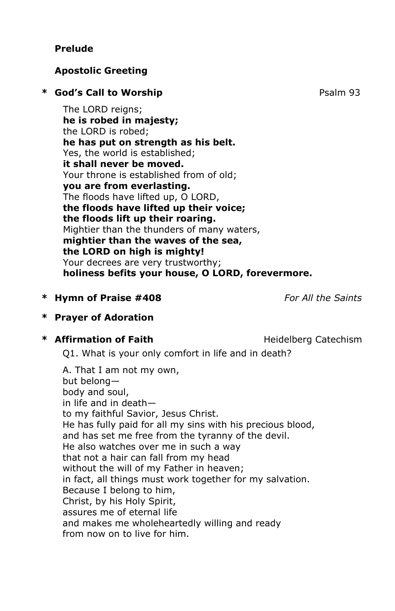# **Prelude**

# **Apostolic Greeting**

# \* **God's Call to Worship**  Psalm 93

The LORD reigns; **he is robed in majesty;** the LORD is robed; **he has put on strength as his belt.** Yes, the world is established; **it shall never be moved.** Your throne is established from of old; **you are from everlasting.** The floods have lifted up, O LORD, **the floods have lifted up their voice; the floods lift up their roaring.** Mightier than the thunders of many waters, **mightier than the waves of the sea, the LORD on high is mighty!** Your decrees are very trustworthy; **holiness befits your house, O LORD, forevermore.**

# **\* Hymn of Praise #408** *For All the Saints*

# **\* Prayer of Adoration**

# \* **Affirmation of Faith Heidelberg Catechism**

Q1. What is your only comfort in life and in death?

A. That I am not my own, but belong body and soul, in life and in death to my faithful Savior, Jesus Christ. He has fully paid for all my sins with his precious blood, and has set me free from the tyranny of the devil. He also watches over me in such a way that not a hair can fall from my head without the will of my Father in heaven; in fact, all things must work together for my salvation. Because I belong to him, Christ, by his Holy Spirit, assures me of eternal life and makes me wholeheartedly willing and ready from now on to live for him.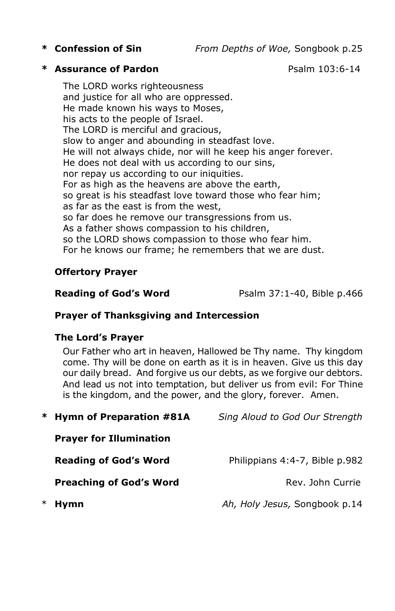**\* Confession of Sin** *From Depths of Woe,* Songbook p.25

## **\* Assurance of Pardon** Psalm 103:6-14

The LORD works righteousness and justice for all who are oppressed. He made known his ways to Moses, his acts to the people of Israel. The LORD is merciful and gracious, slow to anger and abounding in steadfast love. He will not always chide, nor will he keep his anger forever. He does not deal with us according to our sins, nor repay us according to our iniquities. For as high as the heavens are above the earth, so great is his steadfast love toward those who fear him; as far as the east is from the west, so far does he remove our transgressions from us. As a father shows compassion to his children, so the LORD shows compassion to those who fear him. For he knows our frame; he remembers that we are dust.

# **Offertory Prayer**

**Reading of God's Word Psalm 37:1-40, Bible p.466** 

## **Prayer of Thanksgiving and Intercession**

## **The Lord's Prayer**

Our Father who art in heaven, Hallowed be Thy name. Thy kingdom come. Thy will be done on earth as it is in heaven. Give us this day our daily bread. And forgive us our debts, as we forgive our debtors. And lead us not into temptation, but deliver us from evil: For Thine is the kingdom, and the power, and the glory, forever. Amen.

| * Hymn of Preparation #81A     | Sing Aloud to God Our Strength |
|--------------------------------|--------------------------------|
| <b>Prayer for Illumination</b> |                                |
| <b>Reading of God's Word</b>   | Philippians 4:4-7, Bible p.982 |
| <b>Preaching of God's Word</b> | Rev. John Currie               |
| <b>Hymn</b>                    | Ah, Holy Jesus, Songbook p.14  |
|                                |                                |